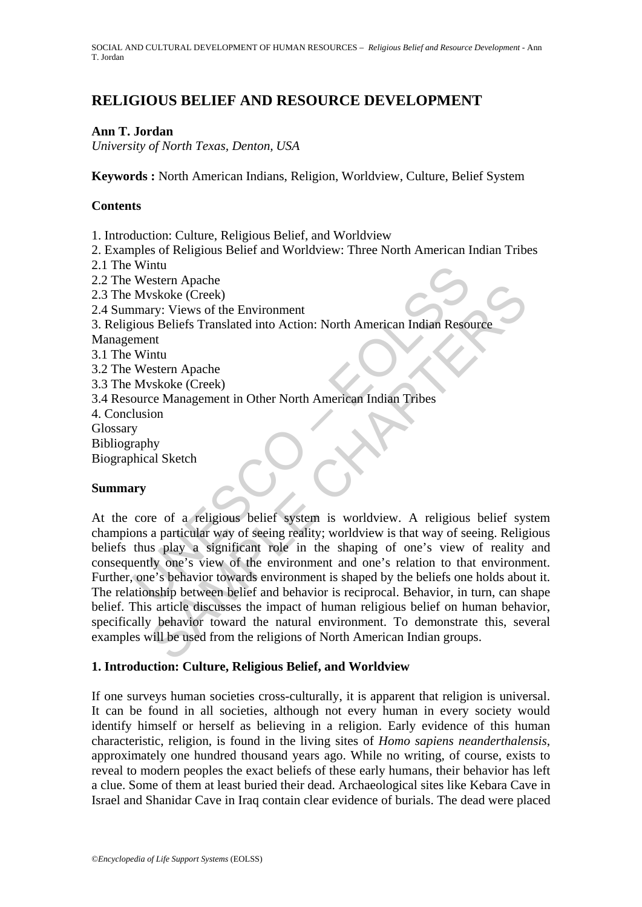# **RELIGIOUS BELIEF AND RESOURCE DEVELOPMENT**

### **Ann T. Jordan**

*University of North Texas, Denton, USA* 

**Keywords :** North American Indians, Religion, Worldview, Culture, Belief System

#### **Contents**

1. Introduction: Culture, Religious Belief, and Worldview

2. Examples of Religious Belief and Worldview: Three North American Indian Tribes

2.1 The Wintu

2.2 The Western Apache 2.3 The Mvskoke (Creek) 2.4 Summary: Views of the Environment

3. Religious Beliefs Translated into Action: North American Indian Resource

Management

3.1 The Wintu

3.2 The Western Apache

3.3 The Mvskoke (Creek)

3.4 Resource Management in Other North American Indian Tribes

4. Conclusion

Glossary

Bibliography

Biographical Sketch

### **Summary**

Western Apache<br>
Myskoke (Creek)<br>
Myskoke (Creek)<br>
Imary: Views of the Environment<br>
ious Beliefs Translated into Action: North American Indian Reson<br>
Western Apache<br>
Myskoke (Creek)<br>
Myskoke (Creek)<br>
Dure Management in Othe Sexien rapache<br>
System expects<br>
system expects<br>
system (Creek)<br>
system (Creek)<br>
system (Creek)<br>
ninu<br>
ninu<br>
ninu<br>
ninu<br>
stern Apache<br>
system is worldview. A religious belief system<br>
ion<br>
by<br>
ny<br>
ny<br>
ny<br>
ny<br>
ny<br>
ny<br>
ny<br>
ny<br> At the core of a religious belief system is worldview. A religious belief system champions a particular way of seeing reality; worldview is that way of seeing. Religious beliefs thus play a significant role in the shaping of one's view of reality and consequently one's view of the environment and one's relation to that environment. Further, one's behavior towards environment is shaped by the beliefs one holds about it. The relationship between belief and behavior is reciprocal. Behavior, in turn, can shape belief. This article discusses the impact of human religious belief on human behavior, specifically behavior toward the natural environment. To demonstrate this, several examples will be used from the religions of North American Indian groups.

### **1. Introduction: Culture, Religious Belief, and Worldview**

If one surveys human societies cross-culturally, it is apparent that religion is universal. It can be found in all societies, although not every human in every society would identify himself or herself as believing in a religion. Early evidence of this human characteristic, religion, is found in the living sites of *Homo sapiens neanderthalensis*, approximately one hundred thousand years ago. While no writing, of course, exists to reveal to modern peoples the exact beliefs of these early humans, their behavior has left a clue. Some of them at least buried their dead. Archaeological sites like Kebara Cave in Israel and Shanidar Cave in Iraq contain clear evidence of burials. The dead were placed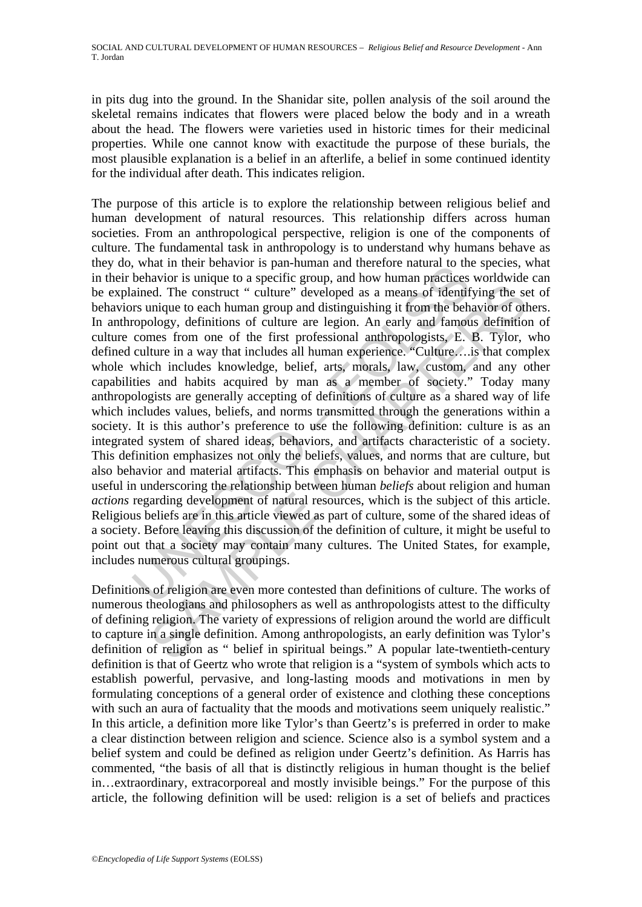in pits dug into the ground. In the Shanidar site, pollen analysis of the soil around the skeletal remains indicates that flowers were placed below the body and in a wreath about the head. The flowers were varieties used in historic times for their medicinal properties. While one cannot know with exactitude the purpose of these burials, the most plausible explanation is a belief in an afterlife, a belief in some continued identity for the individual after death. This indicates religion.

what in their betrativor is pan-intunian and unterclore natural of unit<br>behavior is unique to a specific group, and how human practices<br>ained. The construct " culture" developed as a means of identif<br>rs unique to each hum ed. The construct " culture" developed as a means of identifying the semique to each human group and distinguishing it from the behavior of ottology, definitions of culture re legion. An early and famous definition of cult The purpose of this article is to explore the relationship between religious belief and human development of natural resources. This relationship differs across human societies. From an anthropological perspective, religion is one of the components of culture. The fundamental task in anthropology is to understand why humans behave as they do, what in their behavior is pan-human and therefore natural to the species, what in their behavior is unique to a specific group, and how human practices worldwide can be explained. The construct " culture" developed as a means of identifying the set of behaviors unique to each human group and distinguishing it from the behavior of others. In anthropology, definitions of culture are legion. An early and famous definition of culture comes from one of the first professional anthropologists, E. B. Tylor, who defined culture in a way that includes all human experience. "Culture….is that complex whole which includes knowledge, belief, arts, morals, law, custom, and any other capabilities and habits acquired by man as a member of society." Today many anthropologists are generally accepting of definitions of culture as a shared way of life which includes values, beliefs, and norms transmitted through the generations within a society. It is this author's preference to use the following definition: culture is as an integrated system of shared ideas, behaviors, and artifacts characteristic of a society. This definition emphasizes not only the beliefs, values, and norms that are culture, but also behavior and material artifacts. This emphasis on behavior and material output is useful in underscoring the relationship between human *beliefs* about religion and human *actions* regarding development of natural resources, which is the subject of this article. Religious beliefs are in this article viewed as part of culture, some of the shared ideas of a society. Before leaving this discussion of the definition of culture, it might be useful to point out that a society may contain many cultures. The United States, for example, includes numerous cultural groupings.

Definitions of religion are even more contested than definitions of culture. The works of numerous theologians and philosophers as well as anthropologists attest to the difficulty of defining religion. The variety of expressions of religion around the world are difficult to capture in a single definition. Among anthropologists, an early definition was Tylor's definition of religion as " belief in spiritual beings." A popular late-twentieth-century definition is that of Geertz who wrote that religion is a "system of symbols which acts to establish powerful, pervasive, and long-lasting moods and motivations in men by formulating conceptions of a general order of existence and clothing these conceptions with such an aura of factuality that the moods and motivations seem uniquely realistic." In this article, a definition more like Tylor's than Geertz's is preferred in order to make a clear distinction between religion and science. Science also is a symbol system and a belief system and could be defined as religion under Geertz's definition. As Harris has commented, "the basis of all that is distinctly religious in human thought is the belief in…extraordinary, extracorporeal and mostly invisible beings." For the purpose of this article, the following definition will be used: religion is a set of beliefs and practices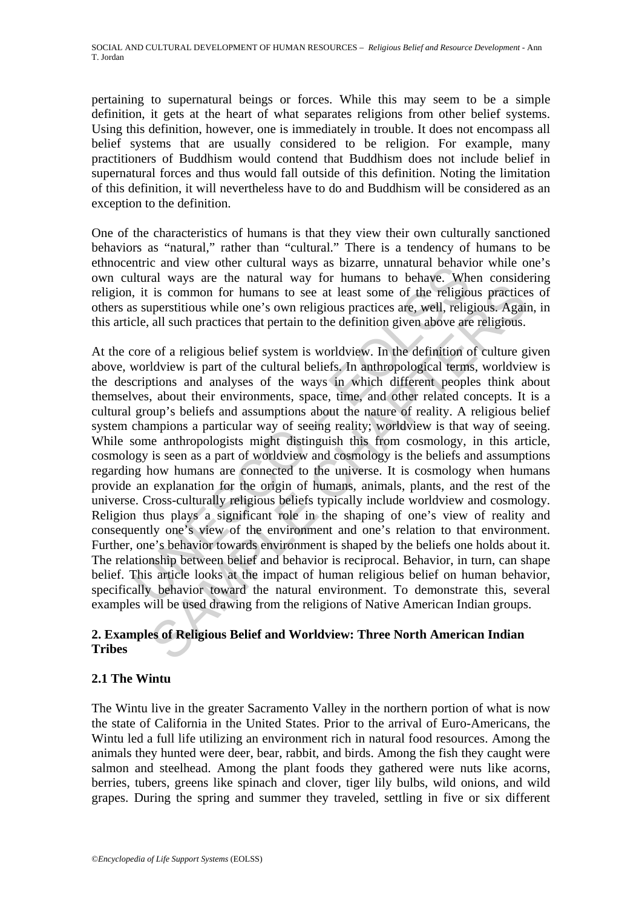pertaining to supernatural beings or forces. While this may seem to be a simple definition, it gets at the heart of what separates religions from other belief systems. Using this definition, however, one is immediately in trouble. It does not encompass all belief systems that are usually considered to be religion. For example, many practitioners of Buddhism would contend that Buddhism does not include belief in supernatural forces and thus would fall outside of this definition. Noting the limitation of this definition, it will nevertheless have to do and Buddhism will be considered as an exception to the definition.

One of the characteristics of humans is that they view their own culturally sanctioned behaviors as "natural," rather than "cultural." There is a tendency of humans to be ethnocentric and view other cultural ways as bizarre, unnatural behavior while one's own cultural ways are the natural way for humans to behave. When considering religion, it is common for humans to see at least some of the religious practices of others as superstitious while one's own religious practices are, well, religious. Again, in this article, all such practices that pertain to the definition given above are religious.

mutual view other cuntual ways as brazine, unitation deniavors<br>litural ways are the natural ways for humans to behave. While the religios superstitious while one's own religious practices are, well, religios<br>superstitious is common for humans to see at least some of the religious practice<br>uperstitious while one's own religious practices are, well, religious and<br>said all such practices that pertain to the definition given above are religious At the core of a religious belief system is worldview. In the definition of culture given above, worldview is part of the cultural beliefs. In anthropological terms, worldview is the descriptions and analyses of the ways in which different peoples think about themselves, about their environments, space, time, and other related concepts. It is a cultural group's beliefs and assumptions about the nature of reality. A religious belief system champions a particular way of seeing reality; worldview is that way of seeing. While some anthropologists might distinguish this from cosmology, in this article, cosmology is seen as a part of worldview and cosmology is the beliefs and assumptions regarding how humans are connected to the universe. It is cosmology when humans provide an explanation for the origin of humans, animals, plants, and the rest of the universe. Cross-culturally religious beliefs typically include worldview and cosmology. Religion thus plays a significant role in the shaping of one's view of reality and consequently one's view of the environment and one's relation to that environment. Further, one's behavior towards environment is shaped by the beliefs one holds about it. The relationship between belief and behavior is reciprocal. Behavior, in turn, can shape belief. This article looks at the impact of human religious belief on human behavior, specifically behavior toward the natural environment. To demonstrate this, several examples will be used drawing from the religions of Native American Indian groups.

## **2. Examples of Religious Belief and Worldview: Three North American Indian Tribes**

### **2.1 The Wintu**

The Wintu live in the greater Sacramento Valley in the northern portion of what is now the state of California in the United States. Prior to the arrival of Euro-Americans, the Wintu led a full life utilizing an environment rich in natural food resources. Among the animals they hunted were deer, bear, rabbit, and birds. Among the fish they caught were salmon and steelhead. Among the plant foods they gathered were nuts like acorns, berries, tubers, greens like spinach and clover, tiger lily bulbs, wild onions, and wild grapes. During the spring and summer they traveled, settling in five or six different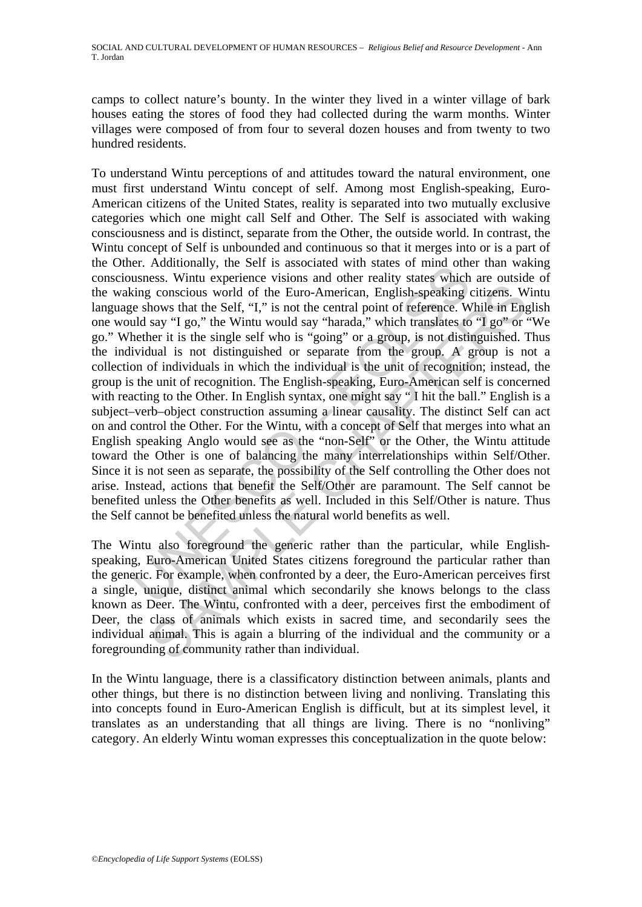camps to collect nature's bounty. In the winter they lived in a winter village of bark houses eating the stores of food they had collected during the warm months. Winter villages were composed of from four to several dozen houses and from twenty to two hundred residents.

Er. Aduntonary, the Self is associated with states of mind ontates<br>usness. Wintu experience visions and other reality states which<br>ting conscious world of the Euro-American, English-speaking e<br>shows that the Self, "I," is g conscious world of the Euro-American, English-speaking citizens. We<br>bows that the Self, "I," is not the central point of reference. While in Engly<br>say "I go," the Wintu would say "harda", "which translates to "I go" or<br>s To understand Wintu perceptions of and attitudes toward the natural environment, one must first understand Wintu concept of self. Among most English-speaking, Euro-American citizens of the United States, reality is separated into two mutually exclusive categories which one might call Self and Other. The Self is associated with waking consciousness and is distinct, separate from the Other, the outside world. In contrast, the Wintu concept of Self is unbounded and continuous so that it merges into or is a part of the Other. Additionally, the Self is associated with states of mind other than waking consciousness. Wintu experience visions and other reality states which are outside of the waking conscious world of the Euro-American, English-speaking citizens. Wintu language shows that the Self, "I," is not the central point of reference. While in English one would say "I go," the Wintu would say "harada," which translates to "I go" or "We go." Whether it is the single self who is "going" or a group, is not distinguished. Thus the individual is not distinguished or separate from the group. A group is not a collection of individuals in which the individual is the unit of recognition; instead, the group is the unit of recognition. The English-speaking, Euro-American self is concerned with reacting to the Other. In English syntax, one might say "I hit the ball." English is a subject–verb–object construction assuming a linear causality. The distinct Self can act on and control the Other. For the Wintu, with a concept of Self that merges into what an English speaking Anglo would see as the "non-Self" or the Other, the Wintu attitude toward the Other is one of balancing the many interrelationships within Self/Other. Since it is not seen as separate, the possibility of the Self controlling the Other does not arise. Instead, actions that benefit the Self/Other are paramount. The Self cannot be benefited unless the Other benefits as well. Included in this Self/Other is nature. Thus the Self cannot be benefited unless the natural world benefits as well.

The Wintu also foreground the generic rather than the particular, while Englishspeaking, Euro-American United States citizens foreground the particular rather than the generic. For example, when confronted by a deer, the Euro-American perceives first a single, unique, distinct animal which secondarily she knows belongs to the class known as Deer. The Wintu, confronted with a deer, perceives first the embodiment of Deer, the class of animals which exists in sacred time, and secondarily sees the individual animal. This is again a blurring of the individual and the community or a foregrounding of community rather than individual.

In the Wintu language, there is a classificatory distinction between animals, plants and other things, but there is no distinction between living and nonliving. Translating this into concepts found in Euro-American English is difficult, but at its simplest level, it translates as an understanding that all things are living. There is no "nonliving" category. An elderly Wintu woman expresses this conceptualization in the quote below: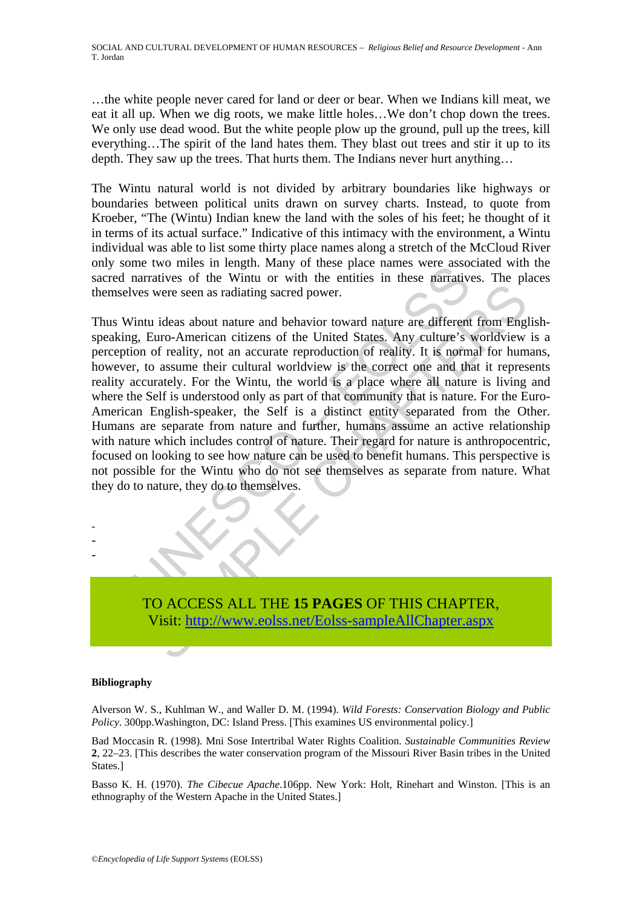…the white people never cared for land or deer or bear. When we Indians kill meat, we eat it all up. When we dig roots, we make little holes…We don't chop down the trees. We only use dead wood. But the white people plow up the ground, pull up the trees, kill everything…The spirit of the land hates them. They blast out trees and stir it up to its depth. They saw up the trees. That hurts them. The Indians never hurt anything…

The Wintu natural world is not divided by arbitrary boundaries like highways or boundaries between political units drawn on survey charts. Instead, to quote from Kroeber, "The (Wintu) Indian knew the land with the soles of his feet; he thought of it in terms of its actual surface." Indicative of this intimacy with the environment, a Wintu individual was able to list some thirty place names along a stretch of the McCloud River only some two miles in length. Many of these place names were associated with the sacred narratives of the Wintu or with the entities in these narratives. The places themselves were seen as radiating sacred power.

In eral, wand on the bentiles in the particle and the matrices of the Wintu or with the entities in these narratives vers were seen as radiating sacred power.<br>
You was were seen as radiating sacred power.<br>
Thus ideas about were seen as radiating sacred power.<br>
were seen as radiating sacred power.<br>
were seen as radiating sacred power.<br>
were seen as radiating sacred power.<br>
of reality, not an accurate reproduction of reality. It is normal for Thus Wintu ideas about nature and behavior toward nature are different from Englishspeaking, Euro-American citizens of the United States. Any culture's worldview is a perception of reality, not an accurate reproduction of reality. It is normal for humans, however, to assume their cultural worldview is the correct one and that it represents reality accurately. For the Wintu, the world is a place where all nature is living and where the Self is understood only as part of that community that is nature. For the Euro-American English-speaker, the Self is a distinct entity separated from the Other. Humans are separate from nature and further, humans assume an active relationship with nature which includes control of nature. Their regard for nature is anthropocentric, focused on looking to see how nature can be used to benefit humans. This perspective is not possible for the Wintu who do not see themselves as separate from nature. What they do to nature, they do to themselves.

TO ACCESS ALL THE **15 PAGES** OF THIS CHAPTER, Visit: http://www.eolss.net/Eolss-sampleAllChapter.aspx

#### **Bibliography**

- - -

Alverson W. S., Kuhlman W., and Waller D. M. (1994). *Wild Forests: Conservation Biology and Public Policy*. 300pp.Washington, DC: Island Press. [This examines US environmental policy.]

Bad Moccasin R. (1998). Mni Sose Intertribal Water Rights Coalition. *Sustainable Communities Review* **2**, 22–23. [This describes the water conservation program of the Missouri River Basin tribes in the United States.]

Basso K. H. (1970). *The Cibecue Apache*.106pp. New York: Holt, Rinehart and Winston. [This is an ethnography of the Western Apache in the United States.]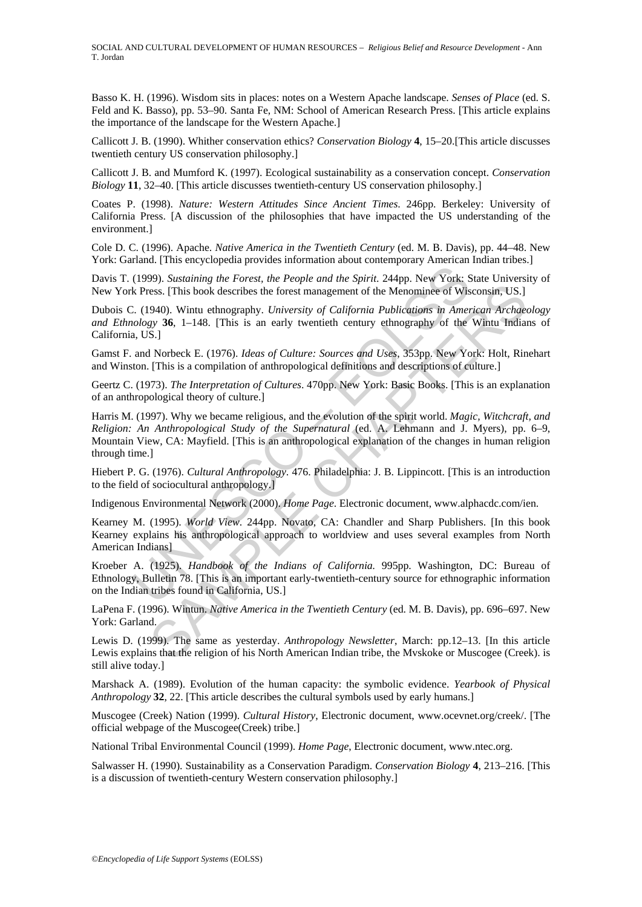SOCIAL AND CULTURAL DEVELOPMENT OF HUMAN RESOURCES – *Religious Belief and Resource Development* - Ann T. Jordan

Basso K. H. (1996). Wisdom sits in places: notes on a Western Apache landscape. *Senses of Place* (ed. S. Feld and K. Basso), pp. 53–90. Santa Fe, NM: School of American Research Press. [This article explains the importance of the landscape for the Western Apache.]

Callicott J. B. (1990). Whither conservation ethics? *Conservation Biology* **4**, 15–20.[This article discusses twentieth century US conservation philosophy.]

Callicott J. B. and Mumford K. (1997). Ecological sustainability as a conservation concept. *Conservation Biology* **11**, 32–40. [This article discusses twentieth-century US conservation philosophy.]

Coates P. (1998). *Nature: Western Attitudes Since Ancient Times*. 246pp. Berkeley: University of California Press. [A discussion of the philosophies that have impacted the US understanding of the environment.]

Cole D. C. (1996). Apache. *Native America in the Twentieth Century* (ed. M. B. Davis), pp. 44–48. New York: Garland. [This encyclopedia provides information about contemporary American Indian tribes.]

Davis T. (1999). *Sustaining the Forest, the People and the Spirit*. 244pp. New York: State University of New York Press. [This book describes the forest management of the Menominee of Wisconsin, US.]

Dubois C. (1940). Wintu ethnography. *University of California Publications in American Archaeology and Ethnology* **36**, 1–148. [This is an early twentieth century ethnography of the Wintu Indians of California, US.]

Gamst F. and Norbeck E. (1976). *Ideas of Culture: Sources and Uses*, 353pp. New York: Holt, Rinehart and Winston. [This is a compilation of anthropological definitions and descriptions of culture.]

Geertz C. (1973). *The Interpretation of Cultures*. 470pp. New York: Basic Books. [This is an explanation of an anthropological theory of culture.]

(1999). Sustaining the Forest, the People and the Spirit. 244pp. New York: Sk Press. [This book describes the forest management of the Menominee of Wis.<br>
2. (1940). Wintu ethnography. University of California Publications Sess. [This book describes the forest management of the Menominee of Wisconsin, US.]<br>
940). Wintu ethnography. University of California Publications in American Archae<br>
95. [This book describes the forest management of th Harris M. (1997). Why we became religious, and the evolution of the spirit world. *Magic, Witchcraft, and Religion: An Anthropological Study of the Supernatural* (ed. A. Lehmann and J. Myers), pp. 6–9, Mountain View, CA: Mayfield. [This is an anthropological explanation of the changes in human religion through time.]

Hiebert P. G. (1976). *Cultural Anthropology*. 476. Philadelphia: J. B. Lippincott. [This is an introduction to the field of sociocultural anthropology.]

Indigenous Environmental Network (2000). *Home Page*. Electronic document, www.alphacdc.com/ien.

Kearney M. (1995). *World View*. 244pp. Novato, CA: Chandler and Sharp Publishers. [In this book Kearney explains his anthropological approach to worldview and uses several examples from North American Indians]

Kroeber A. (1925). *Handbook of the Indians of California.* 995pp. Washington, DC: Bureau of Ethnology, Bulletin 78. [This is an important early-twentieth-century source for ethnographic information on the Indian tribes found in California, US.]

LaPena F. (1996). Wintun. *Native America in the Twentieth Century* (ed. M. B. Davis), pp. 696–697. New York: Garland.

Lewis D. (1999). The same as yesterday. *Anthropology Newsletter*, March: pp.12–13. [In this article Lewis explains that the religion of his North American Indian tribe, the Mvskoke or Muscogee (Creek). is still alive today.]

Marshack A. (1989). Evolution of the human capacity: the symbolic evidence. *Yearbook of Physical Anthropology* **32**, 22. [This article describes the cultural symbols used by early humans.]

Muscogee (Creek) Nation (1999). *Cultural History*, Electronic document, www.ocevnet.org/creek/. [The official webpage of the Muscogee(Creek) tribe.]

National Tribal Environmental Council (1999). *Home Page*, Electronic document, www.ntec.org.

Salwasser H. (1990). Sustainability as a Conservation Paradigm. *Conservation Biology* **4**, 213–216. [This is a discussion of twentieth-century Western conservation philosophy.]